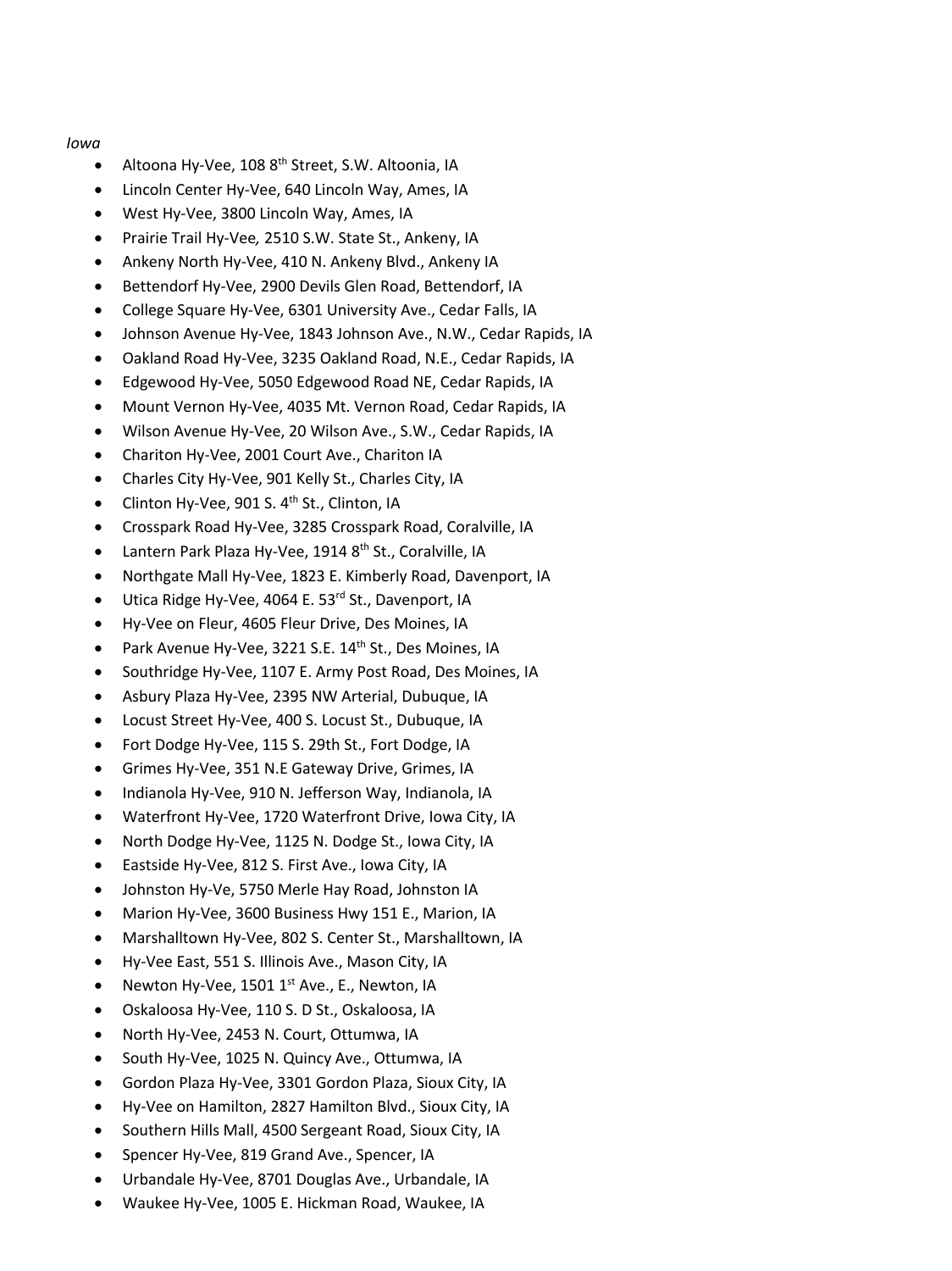### *Iowa*

- Altoona Hy-Vee, 108 8<sup>th</sup> Street, S.W. Altoonia, IA
- Lincoln Center Hy-Vee, 640 Lincoln Way, Ames, IA
- West Hy-Vee, 3800 Lincoln Way, Ames, IA
- Prairie Trail Hy-Vee*,* 2510 S.W. State St., Ankeny, IA
- Ankeny North Hy-Vee, 410 N. Ankeny Blvd., Ankeny IA
- Bettendorf Hy-Vee, 2900 Devils Glen Road, Bettendorf, IA
- College Square Hy-Vee, 6301 University Ave., Cedar Falls, IA
- Johnson Avenue Hy-Vee, 1843 Johnson Ave., N.W., Cedar Rapids, IA
- Oakland Road Hy-Vee, 3235 Oakland Road, N.E., Cedar Rapids, IA
- Edgewood Hy-Vee, 5050 Edgewood Road NE, Cedar Rapids, IA
- Mount Vernon Hy-Vee, 4035 Mt. Vernon Road, Cedar Rapids, IA
- Wilson Avenue Hy-Vee, 20 Wilson Ave., S.W., Cedar Rapids, IA
- Chariton Hy-Vee, 2001 Court Ave., Chariton IA
- Charles City Hy-Vee, 901 Kelly St., Charles City, IA
- Clinton Hy-Vee, 901 S. 4<sup>th</sup> St., Clinton, IA
- Crosspark Road Hy-Vee, 3285 Crosspark Road, Coralville, IA
- Lantern Park Plaza Hy-Vee, 1914 8<sup>th</sup> St., Coralville, IA
- Northgate Mall Hy-Vee, 1823 E. Kimberly Road, Davenport, IA
- Utica Ridge Hy-Vee, 4064 E. 53<sup>rd</sup> St., Davenport, IA
- Hy-Vee on Fleur, 4605 Fleur Drive, Des Moines, IA
- Park Avenue Hy-Vee, 3221 S.E. 14<sup>th</sup> St., Des Moines, IA
- Southridge Hy-Vee, 1107 E. Army Post Road, Des Moines, IA
- Asbury Plaza Hy-Vee, 2395 NW Arterial, Dubuque, IA
- Locust Street Hy-Vee, 400 S. Locust St., Dubuque, IA
- Fort Dodge Hy-Vee, 115 S. 29th St., Fort Dodge, IA
- Grimes Hy-Vee, 351 N.E Gateway Drive, Grimes, IA
- Indianola Hy-Vee, 910 N. Jefferson Way, Indianola, IA
- Waterfront Hy-Vee, 1720 Waterfront Drive, Iowa City, IA
- North Dodge Hy-Vee, 1125 N. Dodge St., Iowa City, IA
- Eastside Hy-Vee, 812 S. First Ave., Iowa City, IA
- Johnston Hy-Ve, 5750 Merle Hay Road, Johnston IA
- Marion Hy-Vee, 3600 Business Hwy 151 E., Marion, IA
- Marshalltown Hy-Vee, 802 S. Center St., Marshalltown, IA
- Hy-Vee East, 551 S. Illinois Ave., Mason City, IA
- Newton Hy-Vee, 1501  $1^{st}$  Ave., E., Newton, IA
- Oskaloosa Hy-Vee, 110 S. D St., Oskaloosa, IA
- North Hy-Vee, 2453 N. Court, Ottumwa, IA
- South Hy-Vee, 1025 N. Quincy Ave., Ottumwa, IA
- Gordon Plaza Hy-Vee, 3301 Gordon Plaza, Sioux City, IA
- Hy-Vee on Hamilton, 2827 Hamilton Blvd., Sioux City, IA
- Southern Hills Mall, 4500 Sergeant Road, Sioux City, IA
- Spencer Hy-Vee, 819 Grand Ave., Spencer, IA
- Urbandale Hy-Vee, 8701 Douglas Ave., Urbandale, IA
- Waukee Hy-Vee, 1005 E. Hickman Road, Waukee, IA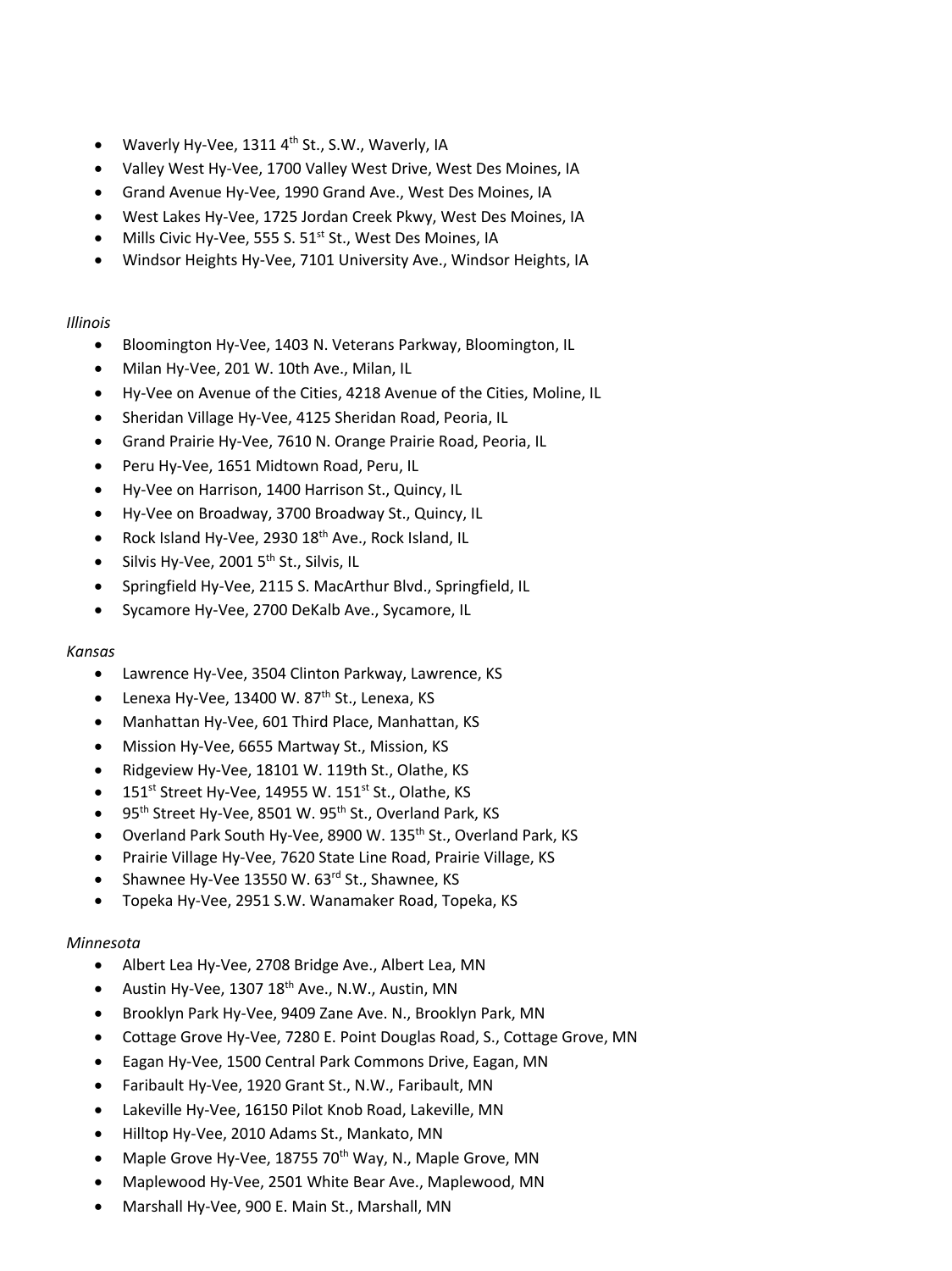- Waverly Hy-Vee,  $1311$  4<sup>th</sup> St., S.W., Waverly, IA
- Valley West Hy-Vee, 1700 Valley West Drive, West Des Moines, IA
- Grand Avenue Hy-Vee, 1990 Grand Ave., West Des Moines, IA
- West Lakes Hy-Vee, 1725 Jordan Creek Pkwy, West Des Moines, IA
- Mills Civic Hy-Vee, 555 S.  $51<sup>st</sup>$  St., West Des Moines, IA
- Windsor Heights Hy-Vee, 7101 University Ave., Windsor Heights, IA

# *Illinois*

- Bloomington Hy-Vee, 1403 N. Veterans Parkway, Bloomington, IL
- Milan Hy-Vee, 201 W. 10th Ave., Milan, IL
- Hy-Vee on Avenue of the Cities, 4218 Avenue of the Cities, Moline, IL
- Sheridan Village Hy-Vee, 4125 Sheridan Road, Peoria, IL
- Grand Prairie Hy-Vee, 7610 N. Orange Prairie Road, Peoria, IL
- Peru Hy-Vee, 1651 Midtown Road, Peru, IL
- Hy-Vee on Harrison, 1400 Harrison St., Quincy, IL
- Hy-Vee on Broadway, 3700 Broadway St., Quincy, IL
- Rock Island Hy-Vee, 2930 18<sup>th</sup> Ave., Rock Island, IL
- Silvis Hy-Vee, 2001  $5<sup>th</sup>$  St., Silvis, IL
- Springfield Hy-Vee, 2115 S. MacArthur Blvd., Springfield, IL
- Sycamore Hy-Vee, 2700 DeKalb Ave., Sycamore, IL

# *Kansas*

- Lawrence Hy-Vee, 3504 Clinton Parkway, Lawrence, KS
- Lenexa Hy-Vee, 13400 W.  $87<sup>th</sup>$  St., Lenexa, KS
- Manhattan Hy-Vee, 601 Third Place, Manhattan, KS
- Mission Hy-Vee, 6655 Martway St., Mission, KS
- Ridgeview Hy-Vee, 18101 W. 119th St., Olathe, KS
- $\bullet$  151<sup>st</sup> Street Hy-Vee, 14955 W. 151<sup>st</sup> St., Olathe, KS
- 95<sup>th</sup> Street Hy-Vee, 8501 W. 95<sup>th</sup> St., Overland Park, KS
- Overland Park South Hy-Vee, 8900 W. 135<sup>th</sup> St., Overland Park, KS
- Prairie Village Hy-Vee, 7620 State Line Road, Prairie Village, KS
- Shawnee Hy-Vee 13550 W. 63rd St., Shawnee, KS
- Topeka Hy-Vee, 2951 S.W. Wanamaker Road, Topeka, KS

# *Minnesota*

- Albert Lea Hy-Vee, 2708 Bridge Ave., Albert Lea, MN
- Austin Hy-Vee, 1307  $18<sup>th</sup>$  Ave., N.W., Austin, MN
- Brooklyn Park Hy-Vee, 9409 Zane Ave. N., Brooklyn Park, MN
- Cottage Grove Hy-Vee, 7280 E. Point Douglas Road, S., Cottage Grove, MN
- Eagan Hy-Vee, 1500 Central Park Commons Drive, Eagan, MN
- Faribault Hy-Vee, 1920 Grant St., N.W., Faribault, MN
- Lakeville Hy-Vee, 16150 Pilot Knob Road, Lakeville, MN
- Hilltop Hy-Vee, 2010 Adams St., Mankato, MN
- Maple Grove Hy-Vee, 18755 70<sup>th</sup> Way, N., Maple Grove, MN
- Maplewood Hy-Vee, 2501 White Bear Ave., Maplewood, MN
- Marshall Hy-Vee, 900 E. Main St., Marshall, MN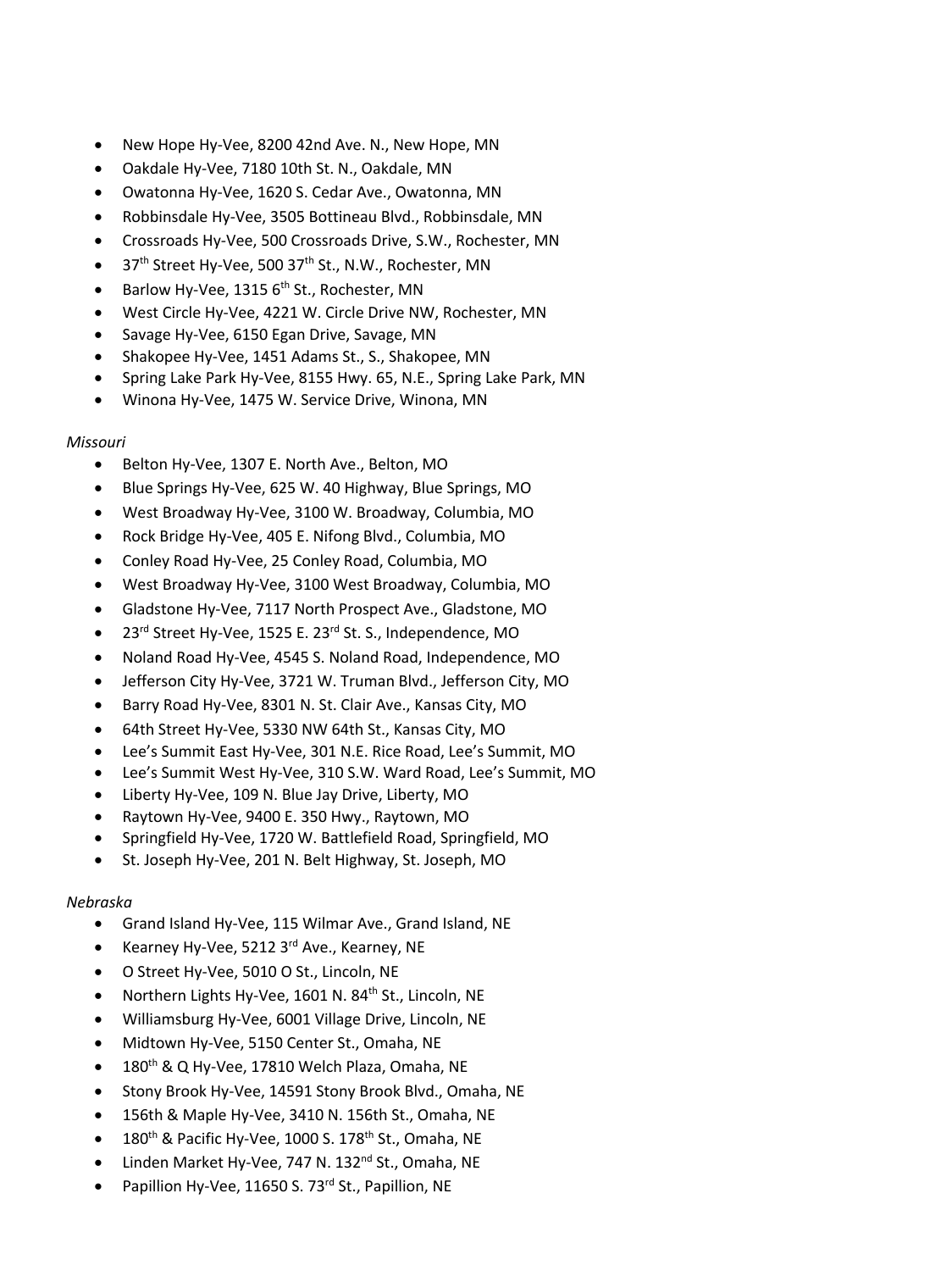- New Hope Hy-Vee, 8200 42nd Ave. N., New Hope, MN
- Oakdale Hy-Vee, 7180 10th St. N., Oakdale, MN
- Owatonna Hy-Vee, 1620 S. Cedar Ave., Owatonna, MN
- Robbinsdale Hy-Vee, 3505 Bottineau Blvd., Robbinsdale, MN
- Crossroads Hy-Vee, 500 Crossroads Drive, S.W., Rochester, MN
- $\bullet$  37<sup>th</sup> Street Hy-Vee, 500 37<sup>th</sup> St., N.W., Rochester, MN
- **•** Barlow Hy-Vee, 1315  $6<sup>th</sup>$  St., Rochester, MN
- West Circle Hy-Vee, 4221 W. Circle Drive NW, Rochester, MN
- Savage Hy-Vee, 6150 Egan Drive, Savage, MN
- Shakopee Hy-Vee, 1451 Adams St., S., Shakopee, MN
- Spring Lake Park Hy-Vee, 8155 Hwy. 65, N.E., Spring Lake Park, MN
- Winona Hy-Vee, 1475 W. Service Drive, Winona, MN

### *Missouri*

- Belton Hy-Vee, 1307 E. North Ave., Belton, MO
- Blue Springs Hy-Vee, 625 W. 40 Highway, Blue Springs, MO
- West Broadway Hy-Vee, 3100 W. Broadway, Columbia, MO
- Rock Bridge Hy-Vee, 405 E. Nifong Blvd., Columbia, MO
- Conley Road Hy-Vee, 25 Conley Road, Columbia, MO
- West Broadway Hy-Vee, 3100 West Broadway, Columbia, MO
- Gladstone Hy-Vee, 7117 North Prospect Ave., Gladstone, MO
- 23<sup>rd</sup> Street Hy-Vee, 1525 E. 23<sup>rd</sup> St. S., Independence, MO
- Noland Road Hy-Vee, 4545 S. Noland Road, Independence, MO
- Jefferson City Hy-Vee, 3721 W. Truman Blvd., Jefferson City, MO
- Barry Road Hy-Vee, 8301 N. St. Clair Ave., Kansas City, MO
- 64th Street Hy-Vee, 5330 NW 64th St., Kansas City, MO
- Lee's Summit East Hy-Vee, 301 N.E. Rice Road, Lee's Summit, MO
- Lee's Summit West Hy-Vee, 310 S.W. Ward Road, Lee's Summit, MO
- Liberty Hy-Vee, 109 N. Blue Jay Drive, Liberty, MO
- Raytown Hy-Vee, 9400 E. 350 Hwy., Raytown, MO
- Springfield Hy-Vee, 1720 W. Battlefield Road, Springfield, MO
- St. Joseph Hy-Vee, 201 N. Belt Highway, St. Joseph, MO

# *Nebraska*

- Grand Island Hy-Vee, 115 Wilmar Ave., Grand Island, NE
- Kearney Hy-Vee, 5212 3<sup>rd</sup> Ave., Kearney, NE
- O Street Hy-Vee, 5010 O St., Lincoln, NE
- Northern Lights Hy-Vee, 1601 N. 84<sup>th</sup> St., Lincoln, NE
- Williamsburg Hy-Vee, 6001 Village Drive, Lincoln, NE
- Midtown Hy-Vee, 5150 Center St., Omaha, NE
- $\bullet$  180<sup>th</sup> & Q Hy-Vee, 17810 Welch Plaza, Omaha, NE
- Stony Brook Hy-Vee, 14591 Stony Brook Blvd., Omaha, NE
- 156th & Maple Hy-Vee, 3410 N. 156th St., Omaha, NE
- $\bullet$  180<sup>th</sup> & Pacific Hy-Vee, 1000 S. 178<sup>th</sup> St., Omaha, NE
- Linden Market Hy-Vee, 747 N. 132<sup>nd</sup> St., Omaha, NE
- Papillion Hy-Vee, 11650 S. 73<sup>rd</sup> St., Papillion, NE